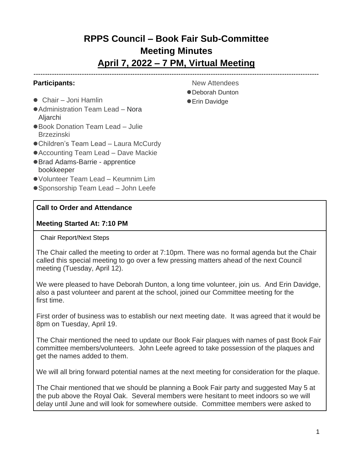# **RPPS Council – Book Fair Sub-Committee Meeting Minutes April 7, 2022 – 7 PM, Virtual Meeting**

----------------------------------------------------------------------------------------------------------------------------

### **Participants:**

- Chair Joni Hamlin
- Administration Team Lead Nora Aljarchi
- Book Donation Team Lead Julie Brzezinski
- ●Children's Team Lead Laura McCurdy
- Accounting Team Lead Dave Mackie
- ●Brad Adams-Barrie apprentice bookkeeper
- ●Volunteer Team Lead Keumnim Lim
- Sponsorship Team Lead John Leefe

#### **Call to Order and Attendance**

#### **Meeting Started At: 7:10 PM**

#### Chair Report/Next Steps

The Chair called the meeting to order at 7:10pm. There was no formal agenda but the Chair called this special meeting to go over a few pressing matters ahead of the next Council meeting (Tuesday, April 12).

We were pleased to have Deborah Dunton, a long time volunteer, join us. And Erin Davidge, also a past volunteer and parent at the school, joined our Committee meeting for the first time.

First order of business was to establish our next meeting date. It was agreed that it would be 8pm on Tuesday, April 19.

The Chair mentioned the need to update our Book Fair plaques with names of past Book Fair committee members/volunteers. John Leefe agreed to take possession of the plaques and get the names added to them.

We will all bring forward potential names at the next meeting for consideration for the plaque.

The Chair mentioned that we should be planning a Book Fair party and suggested May 5 at the pub above the Royal Oak. Several members were hesitant to meet indoors so we will delay until June and will look for somewhere outside. Committee members were asked to

- New Attendees
- ●Deborah Dunton
- Erin Davidge